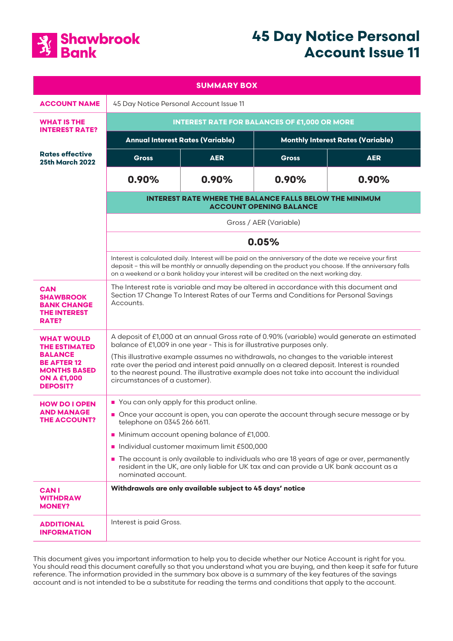

# **45 Day Notice Personal Account Issue 11**

| <b>SUMMARY BOX</b>                                                                                                                                |                                                                                                                                                                                                                                                                                                                                                                                                                                                                                            |            |                                          |            |
|---------------------------------------------------------------------------------------------------------------------------------------------------|--------------------------------------------------------------------------------------------------------------------------------------------------------------------------------------------------------------------------------------------------------------------------------------------------------------------------------------------------------------------------------------------------------------------------------------------------------------------------------------------|------------|------------------------------------------|------------|
| <b>ACCOUNT NAME</b>                                                                                                                               | 45 Day Notice Personal Account Issue 11                                                                                                                                                                                                                                                                                                                                                                                                                                                    |            |                                          |            |
| <b>WHAT IS THE</b><br><b>INTEREST RATE?</b>                                                                                                       | <b>INTEREST RATE FOR BALANCES OF £1,000 OR MORE</b>                                                                                                                                                                                                                                                                                                                                                                                                                                        |            |                                          |            |
|                                                                                                                                                   | <b>Annual Interest Rates (Variable)</b>                                                                                                                                                                                                                                                                                                                                                                                                                                                    |            | <b>Monthly Interest Rates (Variable)</b> |            |
| <b>Rates effective</b><br><b>25th March 2022</b>                                                                                                  | <b>Gross</b>                                                                                                                                                                                                                                                                                                                                                                                                                                                                               | <b>AER</b> | <b>Gross</b>                             | <b>AER</b> |
|                                                                                                                                                   | 0.90%                                                                                                                                                                                                                                                                                                                                                                                                                                                                                      | 0.90%      | 0.90%                                    | 0.90%      |
|                                                                                                                                                   | <b>INTEREST RATE WHERE THE BALANCE FALLS BELOW THE MINIMUM</b><br><b>ACCOUNT OPENING BALANCE</b>                                                                                                                                                                                                                                                                                                                                                                                           |            |                                          |            |
|                                                                                                                                                   | Gross / AER (Variable)                                                                                                                                                                                                                                                                                                                                                                                                                                                                     |            |                                          |            |
|                                                                                                                                                   | 0.05%                                                                                                                                                                                                                                                                                                                                                                                                                                                                                      |            |                                          |            |
|                                                                                                                                                   | Interest is calculated daily. Interest will be paid on the anniversary of the date we receive your first<br>deposit - this will be monthly or annually depending on the product you choose. If the anniversary falls<br>on a weekend or a bank holiday your interest will be credited on the next working day.                                                                                                                                                                             |            |                                          |            |
| <b>CAN</b><br><b>SHAWBROOK</b><br><b>BANK CHANGE</b><br><b>THE INTEREST</b><br>RATE?                                                              | The Interest rate is variable and may be altered in accordance with this document and<br>Section 17 Change To Interest Rates of our Terms and Conditions for Personal Savings<br>Accounts.                                                                                                                                                                                                                                                                                                 |            |                                          |            |
| <b>WHAT WOULD</b><br><b>THE ESTIMATED</b><br><b>BALANCE</b><br><b>BE AFTER 12</b><br><b>MONTHS BASED</b><br><b>ON A £1,000</b><br><b>DEPOSIT?</b> | A deposit of £1,000 at an annual Gross rate of 0.90% (variable) would generate an estimated<br>balance of £1,009 in one year - This is for illustrative purposes only.<br>(This illustrative example assumes no withdrawals, no changes to the variable interest<br>rate over the period and interest paid annually on a cleared deposit. Interest is rounded<br>to the nearest pound. The illustrative example does not take into account the individual<br>circumstances of a customer). |            |                                          |            |
| <b>HOW DO I OPEN</b><br>AND MANAGE<br><b>THE ACCOUNT?</b>                                                                                         | You can only apply for this product online.<br>Once your account is open, you can operate the account through secure message or by<br>telephone on 0345 266 6611.<br>Minimum account opening balance of £1,000.<br>Individual customer maximum limit £500,000<br>The account is only available to individuals who are 18 years of age or over, permanently<br>resident in the UK, are only liable for UK tax and can provide a UK bank account as a<br>nominated account.                  |            |                                          |            |
| <b>CANI</b><br>WITHDRAW<br><b>MONEY?</b>                                                                                                          | Withdrawals are only available subject to 45 days' notice                                                                                                                                                                                                                                                                                                                                                                                                                                  |            |                                          |            |
| <b>ADDITIONAL</b><br><b>INFORMATION</b>                                                                                                           | Interest is paid Gross.                                                                                                                                                                                                                                                                                                                                                                                                                                                                    |            |                                          |            |

This document gives you important information to help you to decide whether our Notice Account is right for you. You should read this document carefully so that you understand what you are buying, and then keep it safe for future reference. The information provided in the summary box above is a summary of the key features of the savings account and is not intended to be a substitute for reading the terms and conditions that apply to the account.